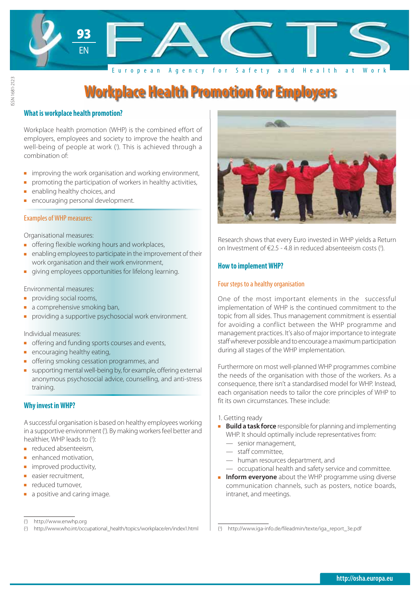

### **What is workplace health promotion?**

ISSN 1681-2123

SSN 1681-2123

Workplace health promotion (WHP) is the combined effort of employers, employees and society to improve the health and well-being of people at work ('). This is achieved through a combination of:

- improving the work organisation and working environment,
- promoting the participation of workers in healthy activities,
- enabling healthy choices, and
- **EXECOMAGING** personal development.

### Examples of WHP measures:

Organisational measures:

- **F** offering flexible working hours and workplaces,
- enabling employees to participate in the improvement of their work organisation and their work environment,
- giving employees opportunities for lifelong learning.

### Environmental measures:

- providing social rooms,
- **a** comprehensive smoking ban,
- providing a supportive psychosocial work environment.

Individual measures:

- **•** offering and funding sports courses and events,
- **E** encouraging healthy eating,
- offering smoking cessation programmes, and
- supporting mental well-being by, for example, offering external anonymous psychosocial advice, counselling, and anti-stress training.

# **Why invest in WHP?**

A successful organisation is based on healthy employees working in a supportive environment ('). By making workers feel better and healthier, WHP leads to (2):

- **EXECUTED** reduced absenteeism,
- enhanced motivation,
- improved productivity,
- easier recruitment,
- reduced turnover,
- a positive and caring image.



Research shows that every Euro invested in WHP yields a Return on Investment of €2.5 - 4.8 in reduced absenteeism costs  $(3)$ .

# **How to implement WHP?**

### Four steps to a healthy organisation

One of the most important elements in the successful implementation of WHP is the continued commitment to the topic from all sides. Thus management commitment is essential for avoiding a conflict between the WHP programme and management practices. It's also of major importance to integrate staff wherever possible and to encourage a maximum participation during all stages of the WHP implementation.

Furthermore on most well-planned WHP programmes combine the needs of the organisation with those of the workers. As a consequence, there isn't a standardised model for WHP. Instead, each organisation needs to tailor the core principles of WHP to fit its own circumstances. These include:

- 1. Getting ready
- **Build a task force** responsible for planning and implementing WHP. It should optimally include representatives from:
	- senior management,
	- staff committee,
	- human resources department, and
	- occupational health and safety service and committee.
- **Inform everyone** about the WHP programme using diverse communication channels, such as posters, notice boards, intranet, and meetings.

<sup>(</sup> 1 ) http://www.enwhp.org

<sup>(</sup> 2 ) http://www.who.int/occupational\_health/topics/workplace/en/index1.html

<sup>(</sup> 3 ) http://www.iga-info.de/fileadmin/texte/iga\_report\_3e.pdf